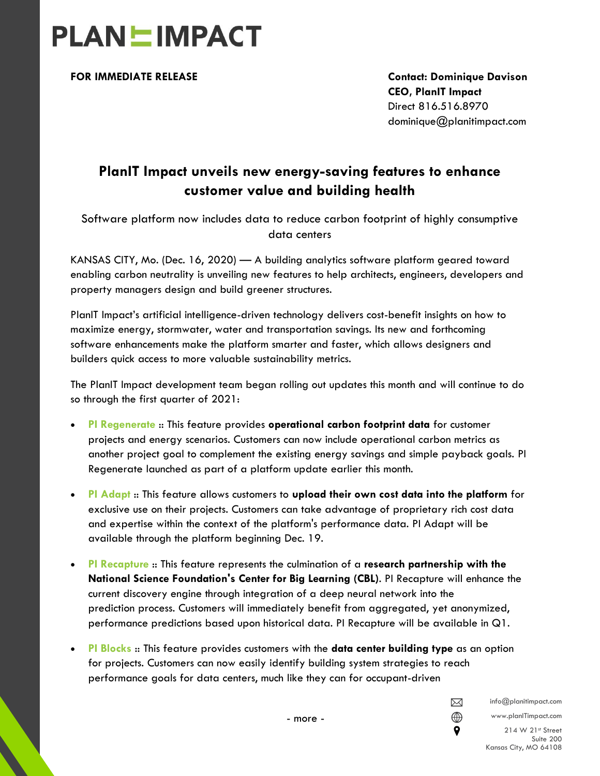

**FOR IMMEDIATE RELEASE Contact: Dominique Davison CEO, PlanIT Impact** Direct 816.516.8970 dominique@planitimpact.com

## **PlanIT Impact unveils new energy-saving features to enhance customer value and building health**

Software platform now includes data to reduce carbon footprint of highly consumptive data centers

KANSAS CITY, Mo. (Dec. 16, 2020) — A building analytics software platform geared toward enabling carbon neutrality is unveiling new features to help architects, engineers, developers and property managers design and build greener structures.

PlanIT Impact's artificial intelligence-driven technology delivers cost-benefit insights on how to maximize energy, stormwater, water and transportation savings. Its new and forthcoming software enhancements make the platform smarter and faster, which allows designers and builders quick access to more valuable sustainability metrics.

The PlanIT Impact development team began rolling out updates this month and will continue to do so through the first quarter of 2021:

- **PI Regenerate** :: This feature provides **operational carbon footprint data** for customer projects and energy scenarios. Customers can now include operational carbon metrics as another project goal to complement the existing energy savings and simple payback goals. PI Regenerate launched as part of a platform update earlier this month.
- **PI Adapt** :: This feature allows customers to **upload their own cost data into the platform** for exclusive use on their projects. Customers can take advantage of proprietary rich cost data and expertise within the context of the platform's performance data. PI Adapt will be available through the platform beginning Dec. 19.
- **PI Recapture** :: This feature represents the culmination of a **research partnership with the National Science Foundation's Center for Big Learning (CBL)**. PI Recapture will enhance the current discovery engine through integration of a deep neural network into the prediction process. Customers will immediately benefit from aggregated, yet anonymized, performance predictions based upon historical data. PI Recapture will be available in Q1.
- **PI Blocks** :: This feature provides customers with the **data center building type** as an option for projects. Customers can now easily identify building system strategies to reach performance goals for data centers, much like they can for occupant-driven

- more -

info@planitimpact.com

 $\boxtimes$ ⊕ 9

www.planITimpact.com 214 W 21st Street Suite 200 Kansas City, MO 64108